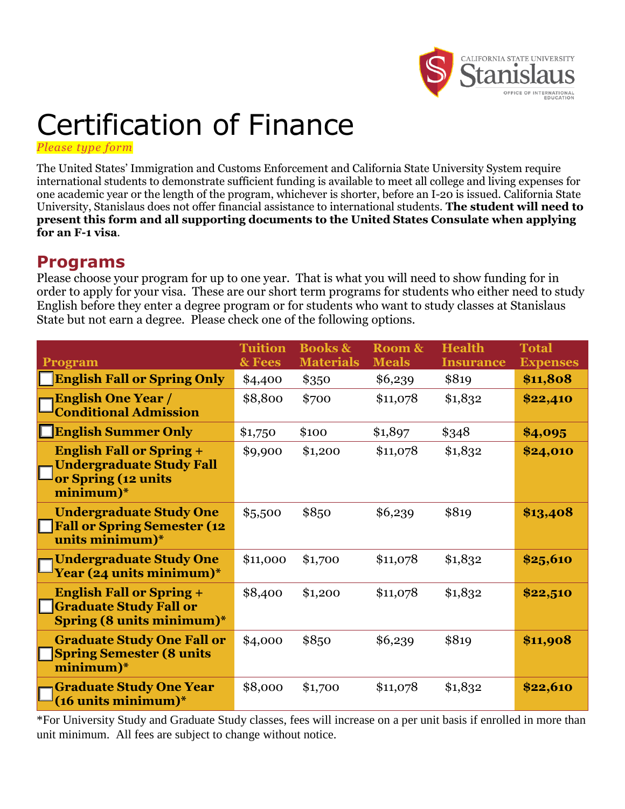

# Certification of Finance

*Please type form*

The United States' Immigration and Customs Enforcement and California State University System require international students to demonstrate sufficient funding is available to meet all college and living expenses for one academic year or the length of the program, whichever is shorter, before an I-20 is issued. California State University, Stanislaus does not offer financial assistance to international students. **The student will need to present this form and all supporting documents to the United States Consulate when applying for an F-1 visa**.

### **Programs**

Please choose your program for up to one year. That is what you will need to show funding for in order to apply for your visa. These are our short term programs for students who either need to study English before they enter a degree program or for students who want to study classes at Stanislaus State but not earn a degree. Please check one of the following options.

| <b>Program</b>                                                                                           | <b>Tuition</b><br>& Fees | <b>Books &amp;</b><br><b>Materials</b> | Room &<br><b>Meals</b> | <b>Health</b><br><b>Insurance</b> | <b>Total</b><br><b>Expenses</b> |
|----------------------------------------------------------------------------------------------------------|--------------------------|----------------------------------------|------------------------|-----------------------------------|---------------------------------|
| <b>English Fall or Spring Only</b>                                                                       | \$4,400                  | \$350                                  | \$6,239                | \$819                             | \$11,808                        |
| <b>English One Year /</b><br><b>Conditional Admission</b>                                                | \$8,800                  | \$700                                  | \$11,078               | \$1,832                           | \$22,410                        |
| <b>English Summer Only</b>                                                                               | \$1,750                  | \$100                                  | \$1,897                | \$348                             | \$4,095                         |
| <b>English Fall or Spring +</b><br><b>Undergraduate Study Fall</b><br>or Spring (12 units<br>minimum)*   | \$9,900                  | \$1,200                                | \$11,078               | \$1,832                           | \$24,010                        |
| <b>Undergraduate Study One</b><br><b>Fall or Spring Semester (12</b><br>units minimum)*                  | \$5,500                  | \$850                                  | \$6,239                | \$819                             | \$13,408                        |
| <b>Undergraduate Study One</b><br>Year (24 units minimum)*                                               | \$11,000                 | \$1,700                                | \$11,078               | \$1,832                           | \$25,610                        |
| <b>English Fall or Spring +</b><br><b>Graduate Study Fall or</b><br>Spring $(8 \text{ units minimum})^*$ | \$8,400                  | \$1,200                                | \$11,078               | \$1,832                           | \$22,510                        |
| <b>Graduate Study One Fall or</b><br><b>Spring Semester (8 units</b><br>minimum)*                        | \$4,000                  | \$850                                  | \$6,239                | \$819                             | \$11,908                        |
| <b>Graduate Study One Year</b><br>$(16$ units minimum $)^*$                                              | \$8,000                  | \$1,700                                | \$11,078               | \$1,832                           | \$22,610                        |

\*For University Study and Graduate Study classes, fees will increase on a per unit basis if enrolled in more than unit minimum. All fees are subject to change without notice.